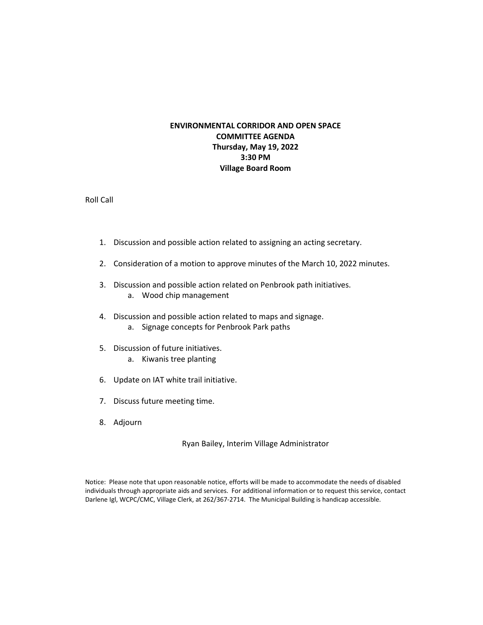## **ENVIRONMENTAL CORRIDOR AND OPEN SPACE COMMITTEE AGENDA Thursday, May 19, 2022 3:30 PM Village Board Room**

Roll Call

- 1. Discussion and possible action related to assigning an acting secretary.
- 2. Consideration of a motion to approve minutes of the March 10, 2022 minutes.
- 3. Discussion and possible action related on Penbrook path initiatives. a. Wood chip management
- 4. Discussion and possible action related to maps and signage.
	- a. Signage concepts for Penbrook Park paths
- 5. Discussion of future initiatives.
	- a. Kiwanis tree planting
- 6. Update on IAT white trail initiative.
- 7. Discuss future meeting time.
- 8. Adjourn

Ryan Bailey, Interim Village Administrator

Notice: Please note that upon reasonable notice, efforts will be made to accommodate the needs of disabled individuals through appropriate aids and services. For additional information or to request this service, contact Darlene Igl, WCPC/CMC, Village Clerk, at 262/367-2714. The Municipal Building is handicap accessible.